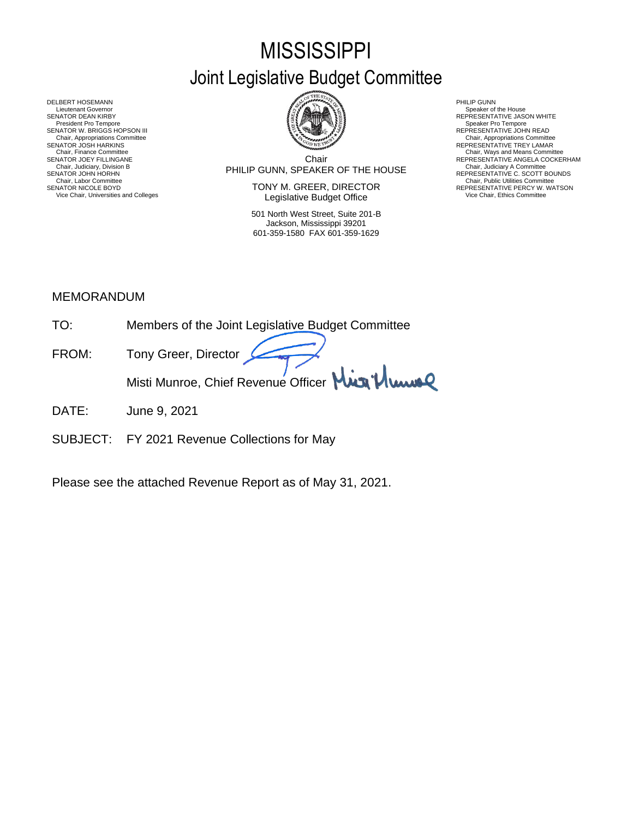# **MISSISSIPPI** Joint Legislative Budget Committee



DELBERT HOSEMANN PHILIP GUNN<br>Lieutenant Governor Speaker of Speaker of Speaker of Speaker of Speaker of Speaker of Speaker of Speaker of Sp Lieutenant Governor Speaker of the House (Seaker of the House Speaker of the House Speaker of the House Speaker of the House Speaker of the House Speaker of the House Speaker of the House Speaker of the House Speaker of th SENATOR DEAN KIRBY GERATOR DEAN KIRBY AND REPRESENTATIVE JASON WHITE<br>President Pro Tempore Speaker Pro Tempore Speaker Pro Tempore SENATOR W. BRIGGS HOPSON III READ AND READ AND REPRESENTATIVE JOHN READ Chair, Appropriations Committee<br>SENATOR JOSH HARKINS<br>Chair, Finance Committee Chair, Finance Committee Chair, Ways and Means Committee Chair, Ways and Means Committee Chair, Ways and Means Committee Chair Chair Chair Chair Chair Chair Chair Chair Chair Chair Chair Chair Chair Chair Chair Chair Chair

Chair PHILIP GUNN, SPEAKER OF THE HOUSE Chair, Judiciary, Division B Chair, Judiciary A Committee SENATOR JOEY FILLINGANE SERES ANGELA COCKERHAM THE CHILING CHAIR COLLECTION CHAIR COLLECTION CONTINUE ANGELA COCKERHAM CHAIR, JUDICAL ANGELA COCKERHAM CHAIR, JUDICAL ANGELA COCKERHAM CHAIR, JUDICAL ANGELA COLLECTION COMMET

SENATOR NICOLE BOYD **SENATOR IN TONY M. GREER, DIRECTOR** REPRESENTATIVE PERCY W. WATSON Vice Chair, Universities and Colleges **Network Constructed Constructed Constructer** Vice Chair, Ethics Committee

> 501 North West Street, Suite 201-B Jackson, Mississippi 39201 601-359-1580 FAX 601-359-1629

- 
- 
- Chair, Appropriations Committee<br>REPRESENTATIVE TREY LAMAR
- 
- SENATOR JOHN HORHN COMMENTATIVE C. SCOTT BOUNDS<br>Chair, Labor Committee Chair, Public Utilities Committee Committee Committee Committee Committee Committee Committee

## MEMORANDUM

- TO: Members of the Joint Legislative Budget Committee
- FROM: Tony Greer, Director Misti Munroe, Chief Revenue Officer Mun<sup>1</sup> Munn
- DATE: June 9, 2021
- SUBJECT: FY 2021 Revenue Collections for May

Please see the attached Revenue Report as of May 31, 2021.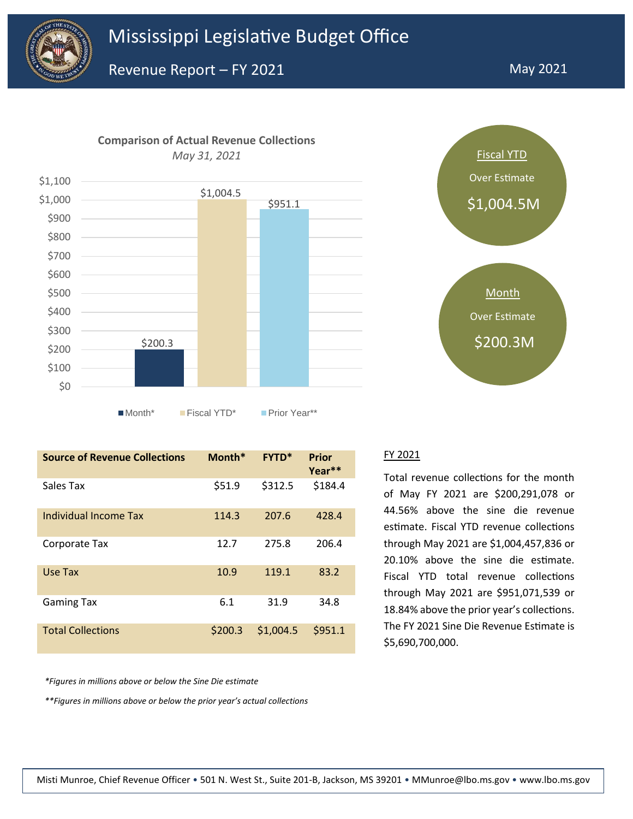





| <b>Source of Revenue Collections</b> | Month*  | <b>FYTD*</b> | Prior<br>Year** |
|--------------------------------------|---------|--------------|-----------------|
| Sales Tax                            | \$51.9  | \$312.5      | \$184.4         |
| Individual Income Tax                | 114.3   | 207.6        | 428.4           |
| Corporate Tax                        | 12.7    | 275.8        | 206.4           |
| Use Tax                              | 10.9    | 119.1        | 83.2            |
| <b>Gaming Tax</b>                    | 6.1     | 31.9         | 34.8            |
| <b>Total Collections</b>             | \$200.3 | \$1,004.5    | \$951.1         |

*\*Figures in millions above or below the Sine Die estimate*

*\*\*Figures in millions above or below the prior year's actual collections*



#### FY 2021

Total revenue collections for the month of May FY 2021 are \$200,291,078 or 44.56% above the sine die revenue estimate. Fiscal YTD revenue collections through May 2021 are \$1,004,457,836 or 20.10% above the sine die estimate. Fiscal YTD total revenue collections through May 2021 are \$951,071,539 or 18.84% above the prior year's collections. The FY 2021 Sine Die Revenue Estimate is \$5,690,700,000.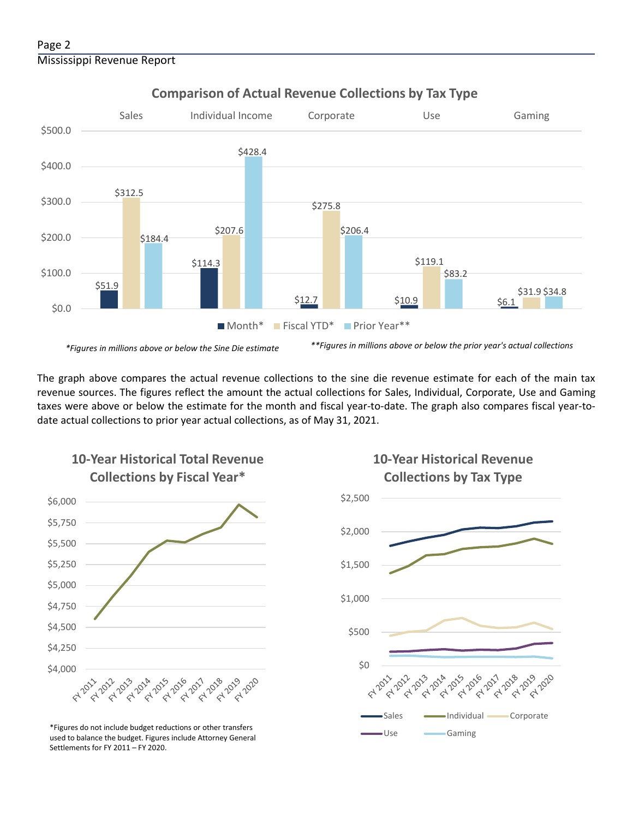

**Comparison of Actual Revenue Collections by Tax Type**

The graph above compares the actual revenue collections to the sine die revenue estimate for each of the main tax revenue sources. The figures reflect the amount the actual collections for Sales, Individual, Corporate, Use and Gaming taxes were above or below the estimate for the month and fiscal year-to-date. The graph also compares fiscal year-todate actual collections to prior year actual collections, as of May 31, 2021.



**10-Year Historical Total Revenue** 

Use Gaming \*Figures do not include budget reductions or other transfers used to balance the budget. Figures include Attorney General Settlements for FY 2011 – FY 2020.

# **10-Year Historical Revenue Collections by Tax Type**

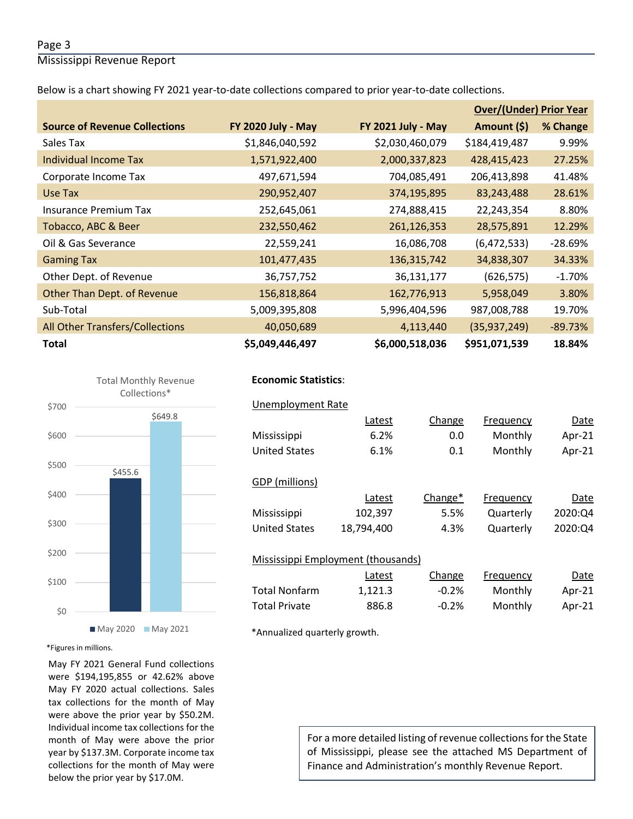### Page 3

Mississippi Revenue Report

Below is a chart showing FY 2021 year-to-date collections compared to prior year-to-date collections.

|                                        |                    |                           | <b>Over/(Under) Prior Year</b> |           |  |
|----------------------------------------|--------------------|---------------------------|--------------------------------|-----------|--|
| <b>Source of Revenue Collections</b>   | FY 2020 July - May | <b>FY 2021 July - May</b> | Amount (\$)                    | % Change  |  |
| Sales Tax                              | \$1,846,040,592    | \$2,030,460,079           | \$184,419,487                  | 9.99%     |  |
| Individual Income Tax                  | 1,571,922,400      | 2,000,337,823             | 428,415,423                    | 27.25%    |  |
| Corporate Income Tax                   | 497,671,594        | 704,085,491               | 206,413,898                    | 41.48%    |  |
| Use Tax                                | 290,952,407        | 374,195,895               | 83,243,488                     | 28.61%    |  |
| Insurance Premium Tax                  | 252,645,061        | 274,888,415               | 22,243,354                     | 8.80%     |  |
| Tobacco, ABC & Beer                    | 232,550,462        | 261,126,353               | 28,575,891                     | 12.29%    |  |
| Oil & Gas Severance                    | 22,559,241         | 16,086,708                | (6,472,533)                    | $-28.69%$ |  |
| <b>Gaming Tax</b>                      | 101,477,435        | 136, 315, 742             | 34,838,307                     | 34.33%    |  |
| Other Dept. of Revenue                 | 36,757,752         | 36,131,177                | (626, 575)                     | $-1.70%$  |  |
| Other Than Dept. of Revenue            | 156,818,864        | 162,776,913               | 5,958,049                      | 3.80%     |  |
| Sub-Total                              | 5,009,395,808      | 5,996,404,596             | 987,008,788                    | 19.70%    |  |
| <b>All Other Transfers/Collections</b> | 40,050,689         | 4,113,440                 | (35, 937, 249)                 | $-89.73%$ |  |
| <b>Total</b>                           | \$5,049,446,497    | \$6,000,518,036           | \$951,071,539                  | 18.84%    |  |



### **Economic Statistics**:  **Economic Statistics**:

| Unemployment Rate    |                                    |         |           |         |
|----------------------|------------------------------------|---------|-----------|---------|
|                      | Latest                             | Change  | Frequency | Date    |
| Mississippi          | 6.2%                               | 0.0     | Monthly   | Apr-21  |
| <b>United States</b> | 6.1%                               | 0.1     | Monthly   | Apr-21  |
| GDP (millions)       |                                    |         |           |         |
|                      | Latest                             | Change* | Frequency | Date    |
| Mississippi          | 102,397                            | 5.5%    | Quarterly | 2020:Q4 |
| <b>United States</b> | 18,794,400                         | 4.3%    | Quarterly | 2020:Q4 |
|                      | Mississippi Employment (thousands) |         |           |         |
|                      | Latest                             | Change  | Frequency | Date    |
| <b>Total Nonfarm</b> | 1,121.3                            | $-0.2%$ | Monthly   | Apr-21  |
| <b>Total Private</b> | 886.8                              | $-0.2%$ | Monthly   | Apr-21  |

\*Annualized quarterly growth.

#### \*Figures in millions.

May FY 2021 General Fund collections were \$194,195,855 or 42.62% above May FY 2020 actual collections. Sales tax collections for the month of May were above the prior year by \$50.2M. Individual income tax collections for the month of May were above the prior year by \$137.3M. Corporate income tax collections for the month of May were below the prior year by \$17.0M.

For a more detailed listing of revenue collections for the State of Mississippi, please see the attached MS Department of Finance and Administration's monthly Revenue Report.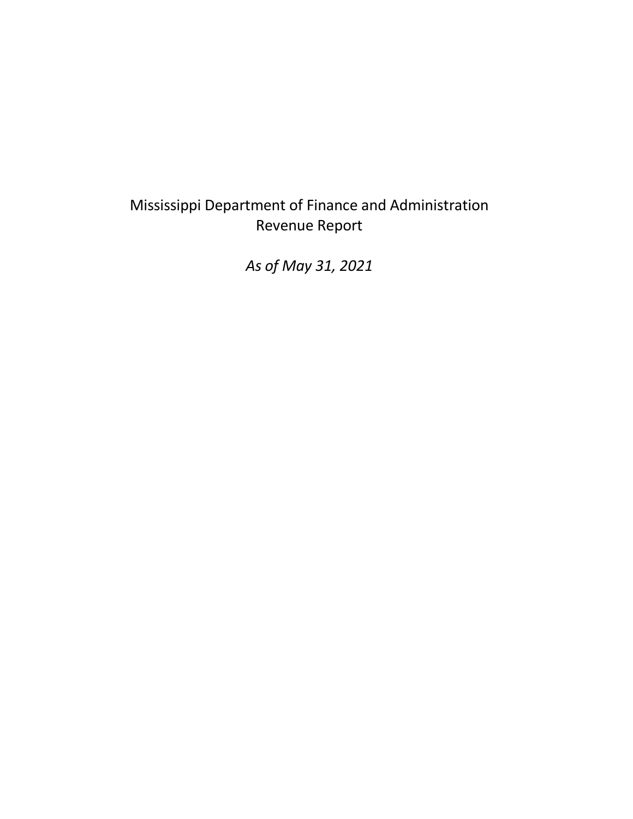# Mississippi Department of Finance and Administration Revenue Report

*As of May 31, 2021*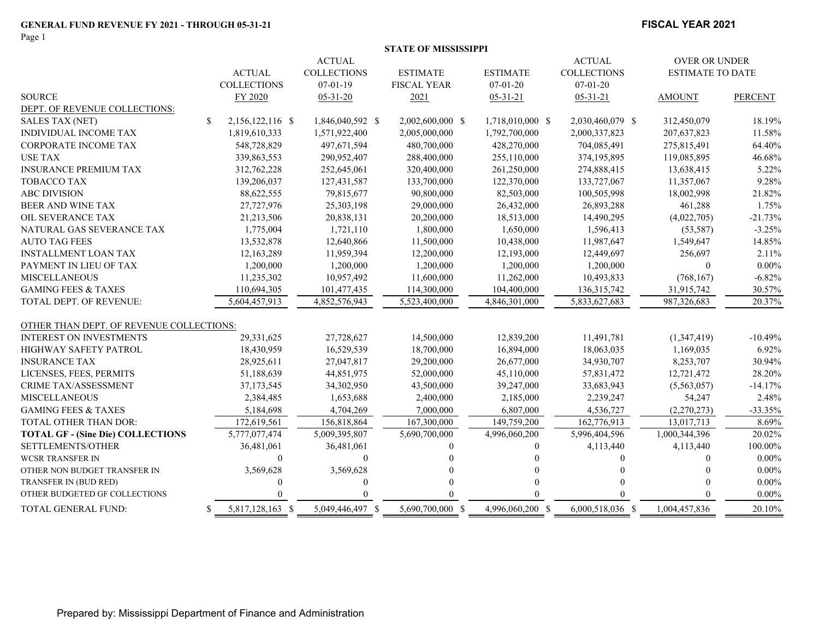Page 1

#### **FISCAL YEAR 2021**

|                                          |                                  | <b>ACTUAL</b>      |                    |                  | <b>ACTUAL</b>      | <b>OVER OR UNDER</b>    |                |
|------------------------------------------|----------------------------------|--------------------|--------------------|------------------|--------------------|-------------------------|----------------|
|                                          | <b>ACTUAL</b>                    | <b>COLLECTIONS</b> | <b>ESTIMATE</b>    | <b>ESTIMATE</b>  | <b>COLLECTIONS</b> | <b>ESTIMATE TO DATE</b> |                |
|                                          | <b>COLLECTIONS</b>               | $07 - 01 - 19$     | <b>FISCAL YEAR</b> | $07 - 01 - 20$   | $07 - 01 - 20$     |                         |                |
| <b>SOURCE</b>                            | FY 2020                          | $05 - 31 - 20$     | 2021               | $05 - 31 - 21$   | $05 - 31 - 21$     | <b>AMOUNT</b>           | <b>PERCENT</b> |
| DEPT. OF REVENUE COLLECTIONS:            |                                  |                    |                    |                  |                    |                         |                |
| <b>SALES TAX (NET)</b>                   | $\mathbb{S}$<br>2,156,122,116 \$ | 1,846,040,592 \$   | 2,002,600,000 \$   | 1,718,010,000 \$ | 2,030,460,079 \$   | 312,450,079             | 18.19%         |
| <b>INDIVIDUAL INCOME TAX</b>             | 1,819,610,333                    | 1,571,922,400      | 2,005,000,000      | 1,792,700,000    | 2,000,337,823      | 207,637,823             | 11.58%         |
| <b>CORPORATE INCOME TAX</b>              | 548,728,829                      | 497,671,594        | 480,700,000        | 428,270,000      | 704,085,491        | 275,815,491             | 64.40%         |
| <b>USE TAX</b>                           | 339,863,553                      | 290,952,407        | 288,400,000        | 255,110,000      | 374,195,895        | 119,085,895             | 46.68%         |
| <b>INSURANCE PREMIUM TAX</b>             | 312,762,228                      | 252,645,061        | 320,400,000        | 261,250,000      | 274,888,415        | 13,638,415              | 5.22%          |
| <b>TOBACCO TAX</b>                       | 139,206,037                      | 127,431,587        | 133,700,000        | 122,370,000      | 133,727,067        | 11,357,067              | 9.28%          |
| <b>ABC DIVISION</b>                      | 88,622,555                       | 79,815,677         | 90,800,000         | 82,503,000       | 100,505,998        | 18,002,998              | 21.82%         |
| BEER AND WINE TAX                        | 27,727,976                       | 25,303,198         | 29,000,000         | 26,432,000       | 26,893,288         | 461,288                 | 1.75%          |
| OIL SEVERANCE TAX                        | 21,213,506                       | 20,838,131         | 20,200,000         | 18,513,000       | 14,490,295         | (4,022,705)             | $-21.73%$      |
| NATURAL GAS SEVERANCE TAX                | 1,775,004                        | 1,721,110          | 1,800,000          | 1,650,000        | 1,596,413          | (53, 587)               | $-3.25%$       |
| <b>AUTO TAG FEES</b>                     | 13,532,878                       | 12,640,866         | 11,500,000         | 10,438,000       | 11,987,647         | 1,549,647               | 14.85%         |
| <b>INSTALLMENT LOAN TAX</b>              | 12,163,289                       | 11,959,394         | 12,200,000         | 12,193,000       | 12,449,697         | 256,697                 | 2.11%          |
| PAYMENT IN LIEU OF TAX                   | 1,200,000                        | 1,200,000          | 1,200,000          | 1,200,000        | 1,200,000          | $\mathbf{0}$            | $0.00\%$       |
| <b>MISCELLANEOUS</b>                     | 11,235,302                       | 10,957,492         | 11,600,000         | 11,262,000       | 10,493,833         | (768, 167)              | $-6.82%$       |
| <b>GAMING FEES &amp; TAXES</b>           | 110,694,305                      | 101,477,435        | 114,300,000        | 104,400,000      | 136, 315, 742      | 31,915,742              | 30.57%         |
| <b>TOTAL DEPT. OF REVENUE:</b>           | 5,604,457,913                    | 4,852,576,943      | 5,523,400,000      | 4,846,301,000    | 5,833,627,683      | 987,326,683             | 20.37%         |
| OTHER THAN DEPT. OF REVENUE COLLECTIONS: |                                  |                    |                    |                  |                    |                         |                |
| INTEREST ON INVESTMENTS                  | 29,331,625                       | 27,728,627         | 14,500,000         | 12,839,200       | 11,491,781         | (1,347,419)             | $-10.49%$      |
| <b>HIGHWAY SAFETY PATROL</b>             | 18,430,959                       | 16,529,539         | 18,700,000         | 16,894,000       | 18,063,035         | 1,169,035               | 6.92%          |
| <b>INSURANCE TAX</b>                     | 28,925,611                       | 27,047,817         | 29,200,000         | 26,677,000       | 34,930,707         | 8,253,707               | 30.94%         |
| LICENSES, FEES, PERMITS                  | 51,188,639                       | 44,851,975         | 52,000,000         | 45,110,000       | 57,831,472         | 12,721,472              | 28.20%         |
| CRIME TAX/ASSESSMENT                     | 37, 173, 545                     | 34,302,950         | 43,500,000         | 39,247,000       | 33,683,943         | (5,563,057)             | $-14.17%$      |
| <b>MISCELLANEOUS</b>                     | 2,384,485                        | 1,653,688          | 2,400,000          | 2,185,000        | 2,239,247          | 54,247                  | 2.48%          |
| <b>GAMING FEES &amp; TAXES</b>           | 5,184,698                        | 4,704,269          | 7,000,000          | 6,807,000        | 4,536,727          | (2,270,273)             | $-33.35%$      |
| TOTAL OTHER THAN DOR:                    | 172,619,561                      | 156,818,864        | 167,300,000        | 149,759,200      | 162,776,913        | 13,017,713              | 8.69%          |
| <b>TOTAL GF - (Sine Die) COLLECTIONS</b> | 5,777,077,474                    | 5,009,395,807      | 5,690,700,000      | 4,996,060,200    | 5,996,404,596      | 1,000,344,396           | 20.02%         |
| SETTLEMENTS/OTHER                        | 36,481,061                       | 36,481,061         |                    | 0                | 4,113,440          | 4,113,440               | 100.00%        |
| <b>WCSR TRANSFER IN</b>                  | $\Omega$                         | $\Omega$           |                    |                  | 0                  | $\theta$                | $0.00\%$       |
| OTHER NON BUDGET TRANSFER IN             | 3,569,628                        | 3,569,628          |                    |                  |                    |                         | $0.00\%$       |
| TRANSFER IN (BUD RED)                    | 0                                |                    |                    |                  |                    |                         | $0.00\%$       |
| OTHER BUDGETED GF COLLECTIONS            |                                  |                    |                    |                  |                    |                         | $0.00\%$       |
| TOTAL GENERAL FUND:                      | 5,817,128,163 \$<br>S            | 5,049,446,497 \$   | 5,690,700,000 \$   | 4,996,060,200 \$ | 6,000,518,036 \$   | 1,004,457,836           | 20.10%         |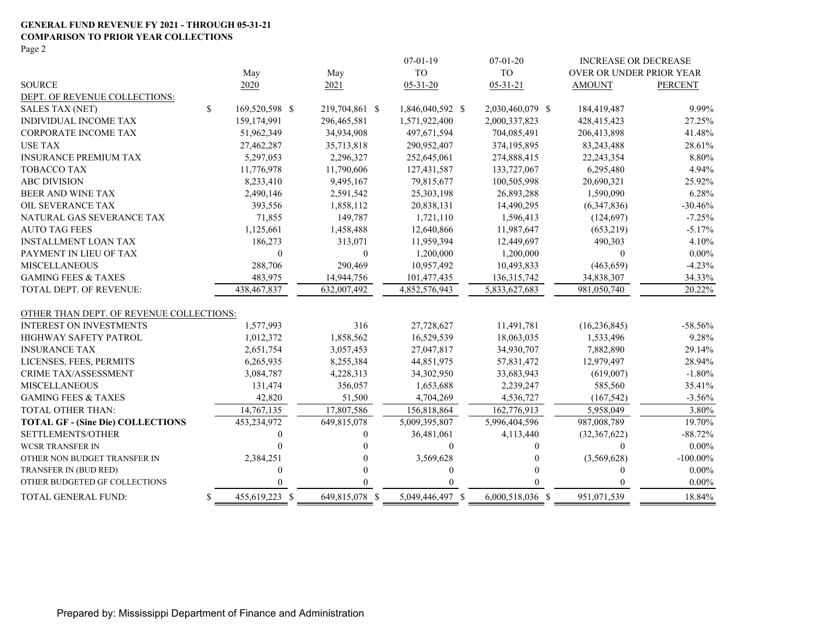#### **GENERAL FUND REVENUE FY 2021 - THROUGH 05-31-21 COMPARISON TO PRIOR YEAR COLLECTIONS**

Page 2

|                                          |                      |                | $07-01-19$       | $07 - 01 - 20$   | <b>INCREASE OR DECREASE</b> |                |
|------------------------------------------|----------------------|----------------|------------------|------------------|-----------------------------|----------------|
|                                          | May                  | May            | <b>TO</b>        | <b>TO</b>        | OVER OR UNDER PRIOR YEAR    |                |
| <b>SOURCE</b>                            | 2020                 | 2021           | $05 - 31 - 20$   | $05 - 31 - 21$   | <b>AMOUNT</b>               | <b>PERCENT</b> |
| DEPT. OF REVENUE COLLECTIONS:            |                      |                |                  |                  |                             |                |
| <b>SALES TAX (NET)</b>                   | \$<br>169,520,598 \$ | 219,704,861 \$ | 1,846,040,592 \$ | 2,030,460,079 \$ | 184,419,487                 | 9.99%          |
| <b>INDIVIDUAL INCOME TAX</b>             | 159,174,991          | 296,465,581    | 1,571,922,400    | 2,000,337,823    | 428,415,423                 | 27.25%         |
| <b>CORPORATE INCOME TAX</b>              | 51,962,349           | 34,934,908     | 497,671,594      | 704,085,491      | 206,413,898                 | 41.48%         |
| <b>USE TAX</b>                           | 27,462,287           | 35,713,818     | 290,952,407      | 374,195,895      | 83,243,488                  | 28.61%         |
| <b>INSURANCE PREMIUM TAX</b>             | 5,297,053            | 2,296,327      | 252,645,061      | 274,888,415      | 22,243,354                  | 8.80%          |
| <b>TOBACCO TAX</b>                       | 11,776,978           | 11,790,606     | 127,431,587      | 133,727,067      | 6,295,480                   | 4.94%          |
| <b>ABC DIVISION</b>                      | 8,233,410            | 9,495,167      | 79,815,677       | 100,505,998      | 20,690,321                  | 25.92%         |
| <b>BEER AND WINE TAX</b>                 | 2,490,146            | 2,591,542      | 25,303,198       | 26,893,288       | 1,590,090                   | 6.28%          |
| OIL SEVERANCE TAX                        | 393,556              | 1,858,112      | 20,838,131       | 14,490,295       | (6,347,836)                 | $-30.46%$      |
| NATURAL GAS SEVERANCE TAX                | 71,855               | 149,787        | 1,721,110        | 1,596,413        | (124, 697)                  | $-7.25%$       |
| <b>AUTO TAG FEES</b>                     | 1,125,661            | 1,458,488      | 12,640,866       | 11,987,647       | (653,219)                   | $-5.17%$       |
| <b>INSTALLMENT LOAN TAX</b>              | 186,273              | 313,071        | 11,959,394       | 12,449,697       | 490,303                     | 4.10%          |
| PAYMENT IN LIEU OF TAX                   | $\theta$             | $\mathbf{0}$   | 1,200,000        | 1,200,000        | $\Omega$                    | $0.00\%$       |
| <b>MISCELLANEOUS</b>                     | 288,706              | 290,469        | 10,957,492       | 10,493,833       | (463, 659)                  | $-4.23%$       |
| <b>GAMING FEES &amp; TAXES</b>           | 483,975              | 14,944,756     | 101,477,435      | 136, 315, 742    | 34,838,307                  | 34.33%         |
| TOTAL DEPT. OF REVENUE:                  | 438,467,837          | 632,007,492    | 4,852,576,943    | 5,833,627,683    | 981,050,740                 | 20.22%         |
| OTHER THAN DEPT. OF REVENUE COLLECTIONS: |                      |                |                  |                  |                             |                |
| <b>INTEREST ON INVESTMENTS</b>           | 1,577,993            | 316            | 27,728,627       | 11,491,781       | (16, 236, 845)              | $-58.56%$      |
| <b>HIGHWAY SAFETY PATROL</b>             | 1,012,372            | 1,858,562      | 16,529,539       | 18,063,035       | 1,533,496                   | 9.28%          |
| <b>INSURANCE TAX</b>                     | 2,651,754            | 3,057,453      | 27,047,817       | 34,930,707       | 7,882,890                   | 29.14%         |
| LICENSES, FEES, PERMITS                  | 6,265,935            | 8,255,384      | 44,851,975       | 57,831,472       | 12,979,497                  | 28.94%         |
| CRIME TAX/ASSESSMENT                     | 3,084,787            | 4,228,313      | 34,302,950       | 33,683,943       | (619,007)                   | $-1.80%$       |
| <b>MISCELLANEOUS</b>                     | 131,474              | 356,057        | 1,653,688        | 2,239,247        | 585,560                     | 35.41%         |
| <b>GAMING FEES &amp; TAXES</b>           | 42,820               | 51,500         | 4,704,269        | 4,536,727        | (167, 542)                  | $-3.56%$       |
| TOTAL OTHER THAN:                        | 14,767,135           | 17,807,586     | 156,818,864      | 162,776,913      | 5,958,049                   | 3.80%          |
| <b>TOTAL GF - (Sine Die) COLLECTIONS</b> | 453,234,972          | 649,815,078    | 5,009,395,807    | 5,996,404,596    | 987,008,789                 | 19.70%         |
| SETTLEMENTS/OTHER                        | 0                    | 0              | 36,481,061       | 4,113,440        | (32, 367, 622)              | $-88.72%$      |
| <b>WCSR TRANSFER IN</b>                  | 0                    |                | $\mathbf{0}$     | 0                | $\Omega$                    | $0.00\%$       |
| OTHER NON BUDGET TRANSFER IN             | 2,384,251            |                | 3,569,628        | 0                | (3,569,628)                 | $-100.00\%$    |
| TRANSFER IN (BUD RED)                    | 0                    |                | $\theta$         |                  | $\Omega$                    | $0.00\%$       |
| OTHER BUDGETED GF COLLECTIONS            |                      | $\Omega$       |                  |                  | $\Omega$                    | $0.00\%$       |
| TOTAL GENERAL FUND:                      | \$<br>455,619,223 \$ | 649,815,078 \$ | 5,049,446,497 \$ | 6,000,518,036 \$ | 951,071,539                 | 18.84%         |